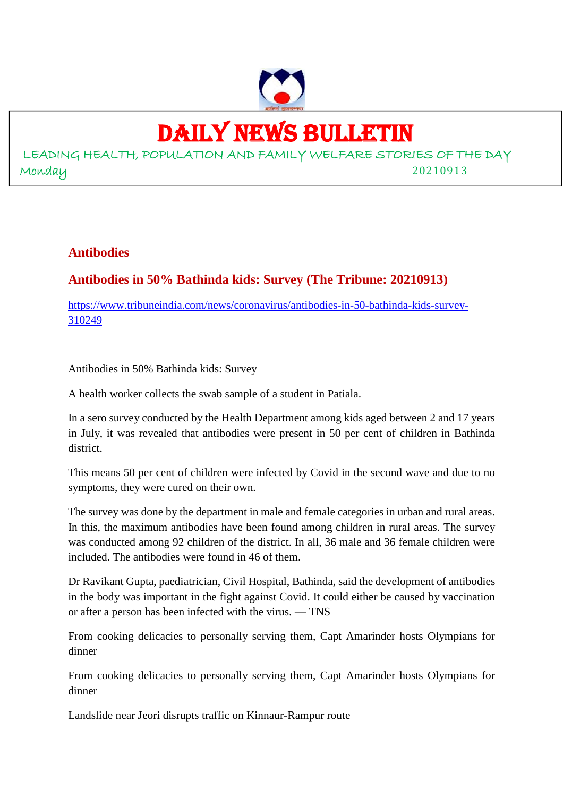

# DAILY NEWS BULLETIN

LEADING HEALTH, POPULATION AND FAMILY WELFARE STORIES OF THE DAY Monday 20210913

#### **Antibodies**

## **Antibodies in 50% Bathinda kids: Survey (The Tribune: 20210913)**

https://www.tribuneindia.com/news/coronavirus/antibodies-in-50-bathinda-kids-survey-310249

Antibodies in 50% Bathinda kids: Survey

A health worker collects the swab sample of a student in Patiala.

In a sero survey conducted by the Health Department among kids aged between 2 and 17 years in July, it was revealed that antibodies were present in 50 per cent of children in Bathinda district.

This means 50 per cent of children were infected by Covid in the second wave and due to no symptoms, they were cured on their own.

The survey was done by the department in male and female categories in urban and rural areas. In this, the maximum antibodies have been found among children in rural areas. The survey was conducted among 92 children of the district. In all, 36 male and 36 female children were included. The antibodies were found in 46 of them.

Dr Ravikant Gupta, paediatrician, Civil Hospital, Bathinda, said the development of antibodies in the body was important in the fight against Covid. It could either be caused by vaccination or after a person has been infected with the virus. — TNS

From cooking delicacies to personally serving them, Capt Amarinder hosts Olympians for dinner

From cooking delicacies to personally serving them, Capt Amarinder hosts Olympians for dinner

Landslide near Jeori disrupts traffic on Kinnaur-Rampur route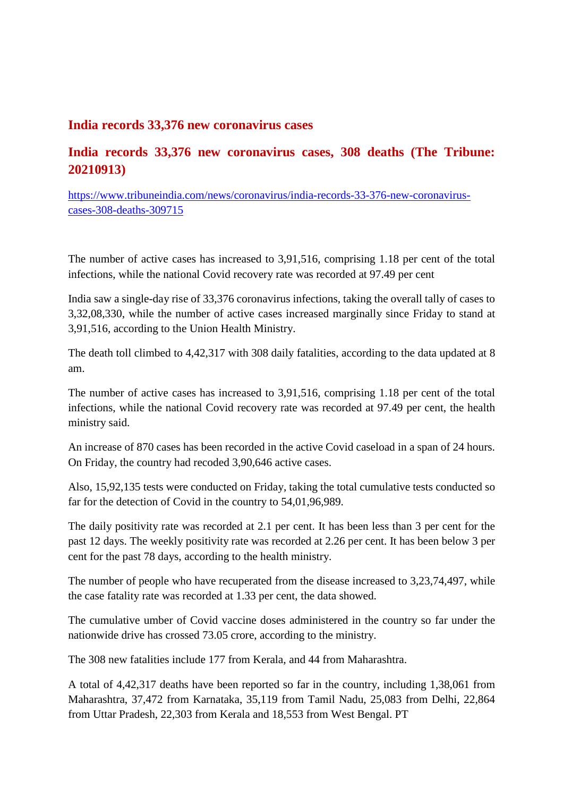#### **India records 33,376 new coronavirus cases**

## **India records 33,376 new coronavirus cases, 308 deaths (The Tribune: 20210913)**

https://www.tribuneindia.com/news/coronavirus/india-records-33-376-new-coronaviruscases-308-deaths-309715

The number of active cases has increased to 3,91,516, comprising 1.18 per cent of the total infections, while the national Covid recovery rate was recorded at 97.49 per cent

India saw a single-day rise of 33,376 coronavirus infections, taking the overall tally of cases to 3,32,08,330, while the number of active cases increased marginally since Friday to stand at 3,91,516, according to the Union Health Ministry.

The death toll climbed to 4,42,317 with 308 daily fatalities, according to the data updated at 8 am.

The number of active cases has increased to 3,91,516, comprising 1.18 per cent of the total infections, while the national Covid recovery rate was recorded at 97.49 per cent, the health ministry said.

An increase of 870 cases has been recorded in the active Covid caseload in a span of 24 hours. On Friday, the country had recoded 3,90,646 active cases.

Also, 15,92,135 tests were conducted on Friday, taking the total cumulative tests conducted so far for the detection of Covid in the country to 54,01,96,989.

The daily positivity rate was recorded at 2.1 per cent. It has been less than 3 per cent for the past 12 days. The weekly positivity rate was recorded at 2.26 per cent. It has been below 3 per cent for the past 78 days, according to the health ministry.

The number of people who have recuperated from the disease increased to 3,23,74,497, while the case fatality rate was recorded at 1.33 per cent, the data showed.

The cumulative umber of Covid vaccine doses administered in the country so far under the nationwide drive has crossed 73.05 crore, according to the ministry.

The 308 new fatalities include 177 from Kerala, and 44 from Maharashtra.

A total of 4,42,317 deaths have been reported so far in the country, including 1,38,061 from Maharashtra, 37,472 from Karnataka, 35,119 from Tamil Nadu, 25,083 from Delhi, 22,864 from Uttar Pradesh, 22,303 from Kerala and 18,553 from West Bengal. PT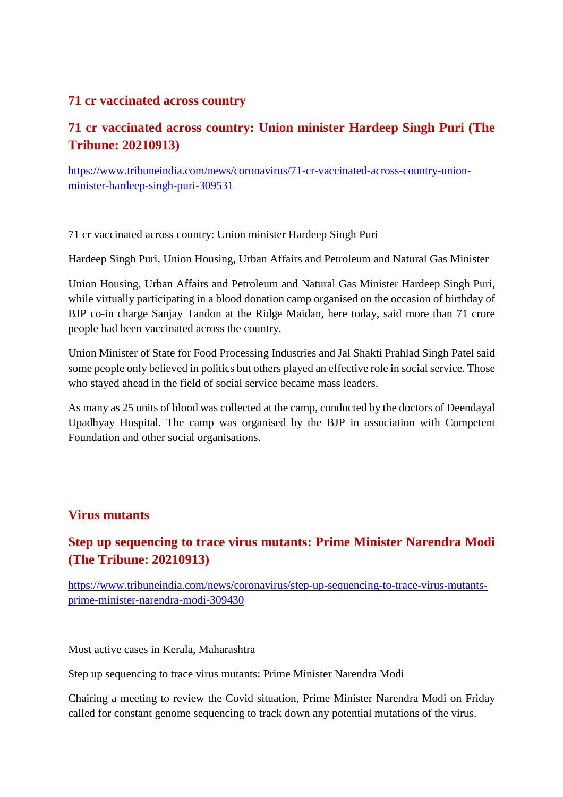#### **71 cr vaccinated across country**

# **71 cr vaccinated across country: Union minister Hardeep Singh Puri (The Tribune: 20210913)**

https://www.tribuneindia.com/news/coronavirus/71-cr-vaccinated-across-country-unionminister-hardeep-singh-puri-309531

71 cr vaccinated across country: Union minister Hardeep Singh Puri

Hardeep Singh Puri, Union Housing, Urban Affairs and Petroleum and Natural Gas Minister

Union Housing, Urban Affairs and Petroleum and Natural Gas Minister Hardeep Singh Puri, while virtually participating in a blood donation camp organised on the occasion of birthday of BJP co-in charge Sanjay Tandon at the Ridge Maidan, here today, said more than 71 crore people had been vaccinated across the country.

Union Minister of State for Food Processing Industries and Jal Shakti Prahlad Singh Patel said some people only believed in politics but others played an effective role in social service. Those who stayed ahead in the field of social service became mass leaders.

As many as 25 units of blood was collected at the camp, conducted by the doctors of Deendayal Upadhyay Hospital. The camp was organised by the BJP in association with Competent Foundation and other social organisations.

### **Virus mutants**

# **Step up sequencing to trace virus mutants: Prime Minister Narendra Modi (The Tribune: 20210913)**

https://www.tribuneindia.com/news/coronavirus/step-up-sequencing-to-trace-virus-mutantsprime-minister-narendra-modi-309430

Most active cases in Kerala, Maharashtra

Step up sequencing to trace virus mutants: Prime Minister Narendra Modi

Chairing a meeting to review the Covid situation, Prime Minister Narendra Modi on Friday called for constant genome sequencing to track down any potential mutations of the virus.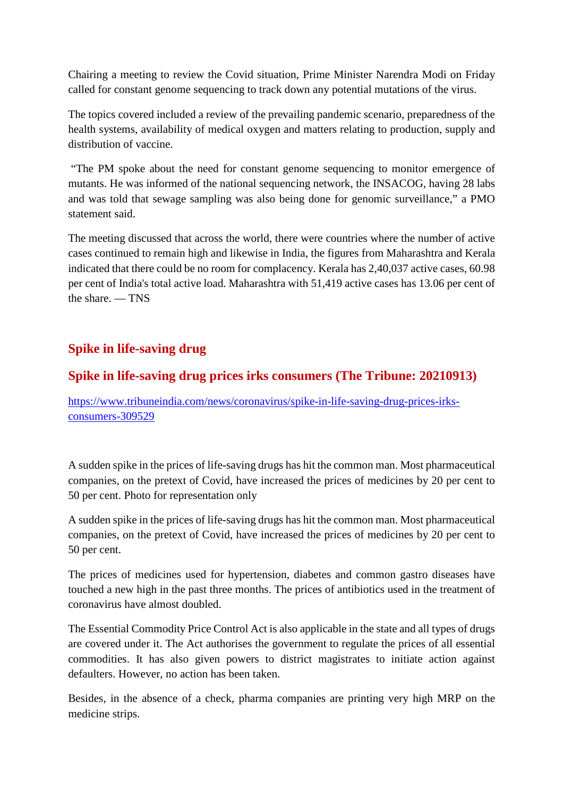Chairing a meeting to review the Covid situation, Prime Minister Narendra Modi on Friday called for constant genome sequencing to track down any potential mutations of the virus.

The topics covered included a review of the prevailing pandemic scenario, preparedness of the health systems, availability of medical oxygen and matters relating to production, supply and distribution of vaccine.

"The PM spoke about the need for constant genome sequencing to monitor emergence of mutants. He was informed of the national sequencing network, the INSACOG, having 28 labs and was told that sewage sampling was also being done for genomic surveillance," a PMO statement said.

The meeting discussed that across the world, there were countries where the number of active cases continued to remain high and likewise in India, the figures from Maharashtra and Kerala indicated that there could be no room for complacency. Kerala has 2,40,037 active cases, 60.98 per cent of India's total active load. Maharashtra with 51,419 active cases has 13.06 per cent of the share. — TNS

# **Spike in life-saving drug**

### **Spike in life-saving drug prices irks consumers (The Tribune: 20210913)**

https://www.tribuneindia.com/news/coronavirus/spike-in-life-saving-drug-prices-irksconsumers-309529

A sudden spike in the prices of life-saving drugs has hit the common man. Most pharmaceutical companies, on the pretext of Covid, have increased the prices of medicines by 20 per cent to 50 per cent. Photo for representation only

A sudden spike in the prices of life-saving drugs has hit the common man. Most pharmaceutical companies, on the pretext of Covid, have increased the prices of medicines by 20 per cent to 50 per cent.

The prices of medicines used for hypertension, diabetes and common gastro diseases have touched a new high in the past three months. The prices of antibiotics used in the treatment of coronavirus have almost doubled.

The Essential Commodity Price Control Act is also applicable in the state and all types of drugs are covered under it. The Act authorises the government to regulate the prices of all essential commodities. It has also given powers to district magistrates to initiate action against defaulters. However, no action has been taken.

Besides, in the absence of a check, pharma companies are printing very high MRP on the medicine strips.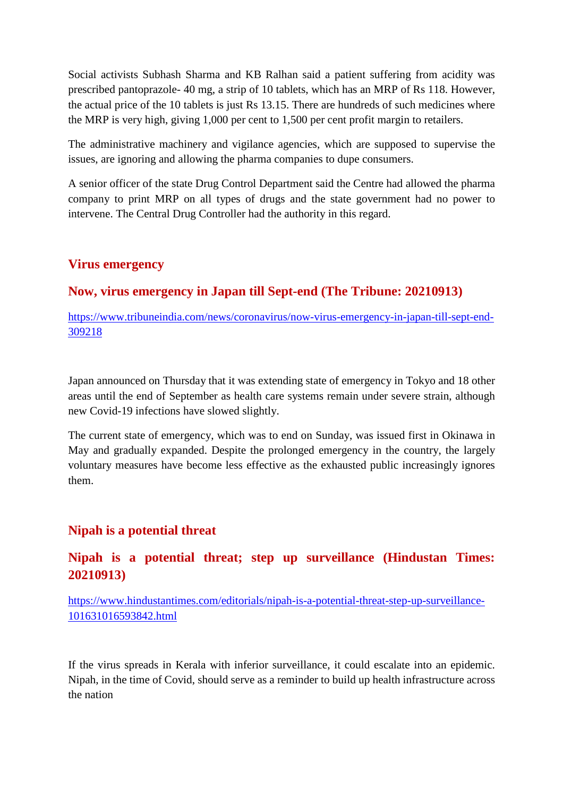Social activists Subhash Sharma and KB Ralhan said a patient suffering from acidity was prescribed pantoprazole- 40 mg, a strip of 10 tablets, which has an MRP of Rs 118. However, the actual price of the 10 tablets is just Rs 13.15. There are hundreds of such medicines where the MRP is very high, giving 1,000 per cent to 1,500 per cent profit margin to retailers.

The administrative machinery and vigilance agencies, which are supposed to supervise the issues, are ignoring and allowing the pharma companies to dupe consumers.

A senior officer of the state Drug Control Department said the Centre had allowed the pharma company to print MRP on all types of drugs and the state government had no power to intervene. The Central Drug Controller had the authority in this regard.

#### **Virus emergency**

## **Now, virus emergency in Japan till Sept-end (The Tribune: 20210913)**

https://www.tribuneindia.com/news/coronavirus/now-virus-emergency-in-japan-till-sept-end-309218

Japan announced on Thursday that it was extending state of emergency in Tokyo and 18 other areas until the end of September as health care systems remain under severe strain, although new Covid-19 infections have slowed slightly.

The current state of emergency, which was to end on Sunday, was issued first in Okinawa in May and gradually expanded. Despite the prolonged emergency in the country, the largely voluntary measures have become less effective as the exhausted public increasingly ignores them.

### **Nipah is a potential threat**

## **Nipah is a potential threat; step up surveillance (Hindustan Times: 20210913)**

https://www.hindustantimes.com/editorials/nipah-is-a-potential-threat-step-up-surveillance-101631016593842.html

If the virus spreads in Kerala with inferior surveillance, it could escalate into an epidemic. Nipah, in the time of Covid, should serve as a reminder to build up health infrastructure across the nation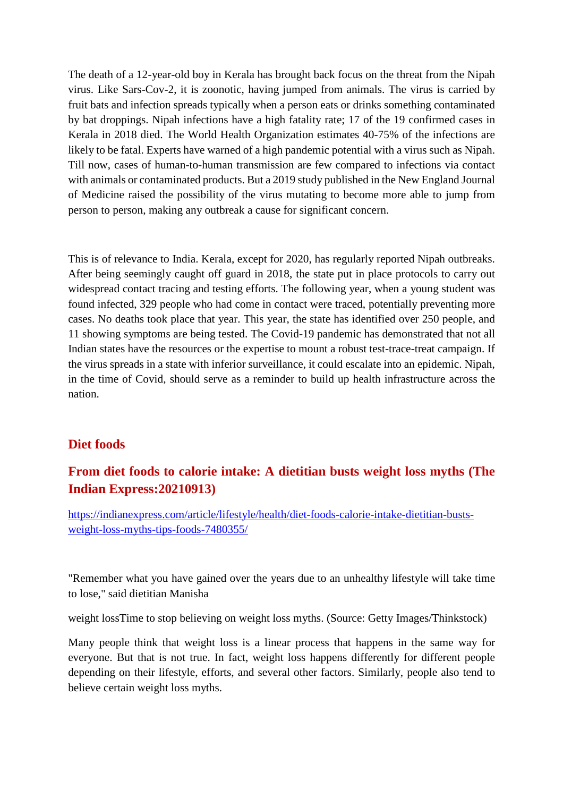The death of a 12-year-old boy in Kerala has brought back focus on the threat from the Nipah virus. Like Sars-Cov-2, it is zoonotic, having jumped from animals. The virus is carried by fruit bats and infection spreads typically when a person eats or drinks something contaminated by bat droppings. Nipah infections have a high fatality rate; 17 of the 19 confirmed cases in Kerala in 2018 died. The World Health Organization estimates 40-75% of the infections are likely to be fatal. Experts have warned of a high pandemic potential with a virus such as Nipah. Till now, cases of human-to-human transmission are few compared to infections via contact with animals or contaminated products. But a 2019 study published in the New England Journal of Medicine raised the possibility of the virus mutating to become more able to jump from person to person, making any outbreak a cause for significant concern.

This is of relevance to India. Kerala, except for 2020, has regularly reported Nipah outbreaks. After being seemingly caught off guard in 2018, the state put in place protocols to carry out widespread contact tracing and testing efforts. The following year, when a young student was found infected, 329 people who had come in contact were traced, potentially preventing more cases. No deaths took place that year. This year, the state has identified over 250 people, and 11 showing symptoms are being tested. The Covid-19 pandemic has demonstrated that not all Indian states have the resources or the expertise to mount a robust test-trace-treat campaign. If the virus spreads in a state with inferior surveillance, it could escalate into an epidemic. Nipah, in the time of Covid, should serve as a reminder to build up health infrastructure across the nation.

#### **Diet foods**

## **From diet foods to calorie intake: A dietitian busts weight loss myths (The Indian Express:20210913)**

https://indianexpress.com/article/lifestyle/health/diet-foods-calorie-intake-dietitian-bustsweight-loss-myths-tips-foods-7480355/

"Remember what you have gained over the years due to an unhealthy lifestyle will take time to lose," said dietitian Manisha

weight lossTime to stop believing on weight loss myths. (Source: Getty Images/Thinkstock)

Many people think that weight loss is a linear process that happens in the same way for everyone. But that is not true. In fact, weight loss happens differently for different people depending on their lifestyle, efforts, and several other factors. Similarly, people also tend to believe certain weight loss myths.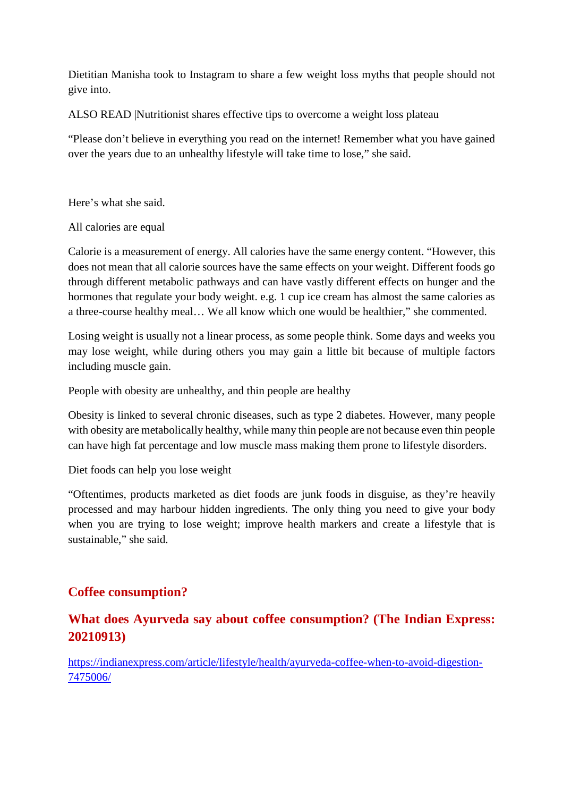Dietitian Manisha took to Instagram to share a few weight loss myths that people should not give into.

ALSO READ |Nutritionist shares effective tips to overcome a weight loss plateau

"Please don't believe in everything you read on the internet! Remember what you have gained over the years due to an unhealthy lifestyle will take time to lose," she said.

Here's what she said.

All calories are equal

Calorie is a measurement of energy. All calories have the same energy content. "However, this does not mean that all calorie sources have the same effects on your weight. Different foods go through different metabolic pathways and can have vastly different effects on hunger and the hormones that regulate your body weight. e.g. 1 cup ice cream has almost the same calories as a three-course healthy meal… We all know which one would be healthier," she commented.

Losing weight is usually not a linear process, as some people think. Some days and weeks you may lose weight, while during others you may gain a little bit because of multiple factors including muscle gain.

People with obesity are unhealthy, and thin people are healthy

Obesity is linked to several chronic diseases, such as type 2 diabetes. However, many people with obesity are metabolically healthy, while many thin people are not because even thin people can have high fat percentage and low muscle mass making them prone to lifestyle disorders.

Diet foods can help you lose weight

"Oftentimes, products marketed as diet foods are junk foods in disguise, as they're heavily processed and may harbour hidden ingredients. The only thing you need to give your body when you are trying to lose weight; improve health markers and create a lifestyle that is sustainable," she said.

## **Coffee consumption?**

## **What does Ayurveda say about coffee consumption? (The Indian Express: 20210913)**

https://indianexpress.com/article/lifestyle/health/ayurveda-coffee-when-to-avoid-digestion-7475006/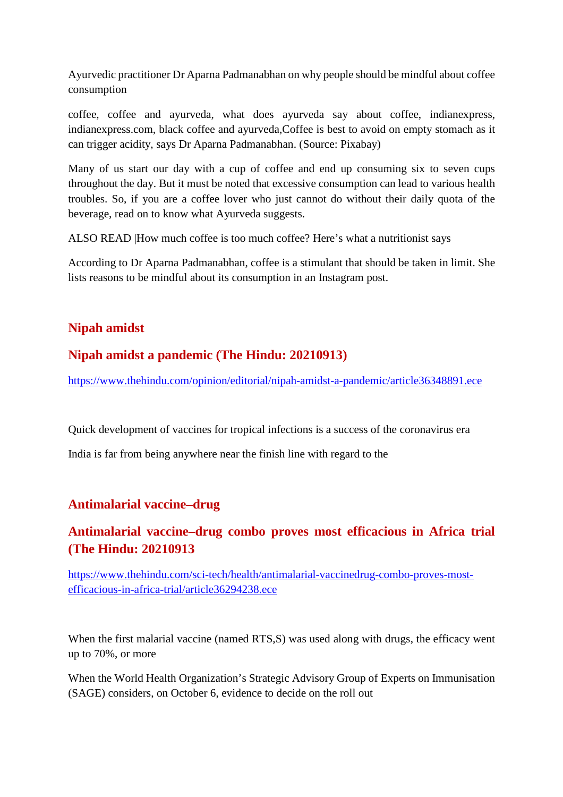Ayurvedic practitioner Dr Aparna Padmanabhan on why people should be mindful about coffee consumption

coffee, coffee and ayurveda, what does ayurveda say about coffee, indianexpress, indianexpress.com, black coffee and ayurveda,Coffee is best to avoid on empty stomach as it can trigger acidity, says Dr Aparna Padmanabhan. (Source: Pixabay)

Many of us start our day with a cup of coffee and end up consuming six to seven cups throughout the day. But it must be noted that excessive consumption can lead to various health troubles. So, if you are a coffee lover who just cannot do without their daily quota of the beverage, read on to know what Ayurveda suggests.

ALSO READ |How much coffee is too much coffee? Here's what a nutritionist says

According to Dr Aparna Padmanabhan, coffee is a stimulant that should be taken in limit. She lists reasons to be mindful about its consumption in an Instagram post.

# **Nipah amidst**

## **Nipah amidst a pandemic (The Hindu: 20210913)**

https://www.thehindu.com/opinion/editorial/nipah-amidst-a-pandemic/article36348891.ece

Quick development of vaccines for tropical infections is a success of the coronavirus era

India is far from being anywhere near the finish line with regard to the

## **Antimalarial vaccine–drug**

# **Antimalarial vaccine–drug combo proves most efficacious in Africa trial (The Hindu: 20210913**

https://www.thehindu.com/sci-tech/health/antimalarial-vaccinedrug-combo-proves-mostefficacious-in-africa-trial/article36294238.ece

When the first malarial vaccine (named RTS, S) was used along with drugs, the efficacy went up to 70%, or more

When the World Health Organization's Strategic Advisory Group of Experts on Immunisation (SAGE) considers, on October 6, evidence to decide on the roll out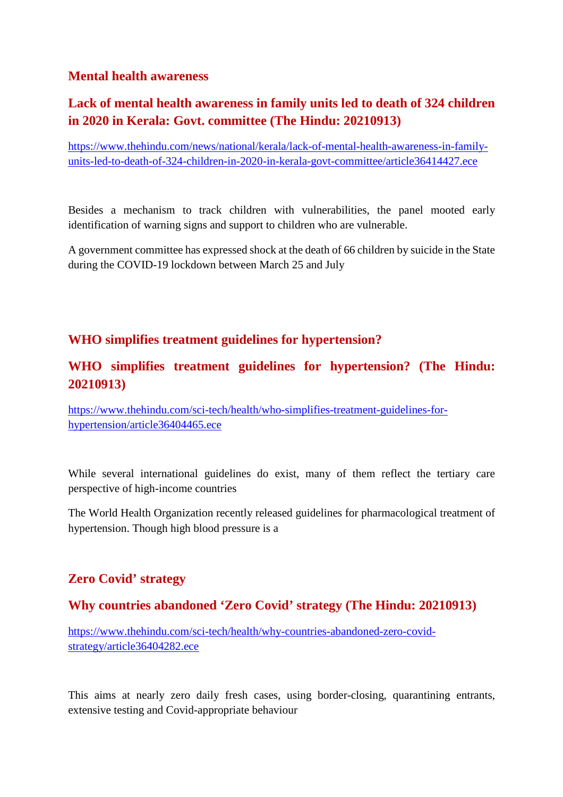## **Mental health awareness**

# **Lack of mental health awareness in family units led to death of 324 children in 2020 in Kerala: Govt. committee (The Hindu: 20210913)**

https://www.thehindu.com/news/national/kerala/lack-of-mental-health-awareness-in-familyunits-led-to-death-of-324-children-in-2020-in-kerala-govt-committee/article36414427.ece

Besides a mechanism to track children with vulnerabilities, the panel mooted early identification of warning signs and support to children who are vulnerable.

A government committee has expressed shock at the death of 66 children by suicide in the State during the COVID-19 lockdown between March 25 and July

### **WHO simplifies treatment guidelines for hypertension?**

## **WHO simplifies treatment guidelines for hypertension? (The Hindu: 20210913)**

https://www.thehindu.com/sci-tech/health/who-simplifies-treatment-guidelines-forhypertension/article36404465.ece

While several international guidelines do exist, many of them reflect the tertiary care perspective of high-income countries

The World Health Organization recently released guidelines for pharmacological treatment of hypertension. Though high blood pressure is a

## **Zero Covid' strategy**

### **Why countries abandoned 'Zero Covid' strategy (The Hindu: 20210913)**

https://www.thehindu.com/sci-tech/health/why-countries-abandoned-zero-covidstrategy/article36404282.ece

This aims at nearly zero daily fresh cases, using border-closing, quarantining entrants, extensive testing and Covid-appropriate behaviour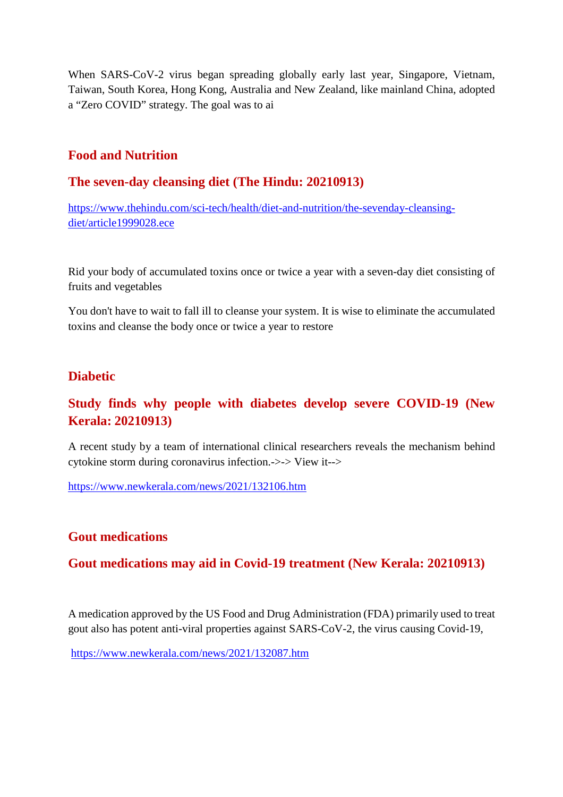When SARS-CoV-2 virus began spreading globally early last year, Singapore, Vietnam, Taiwan, South Korea, Hong Kong, Australia and New Zealand, like mainland China, adopted a "Zero COVID" strategy. The goal was to ai

#### **Food and Nutrition**

#### **The seven-day cleansing diet (The Hindu: 20210913)**

https://www.thehindu.com/sci-tech/health/diet-and-nutrition/the-sevenday-cleansingdiet/article1999028.ece

Rid your body of accumulated toxins once or twice a year with a seven-day diet consisting of fruits and vegetables

You don't have to wait to fall ill to cleanse your system. It is wise to eliminate the accumulated toxins and cleanse the body once or twice a year to restore

#### **Diabetic**

## **Study finds why people with diabetes develop severe COVID-19 (New Kerala: 20210913)**

A recent study by a team of international clinical researchers reveals the mechanism behind cytokine storm during coronavirus infection.->-> View it-->

https://www.newkerala.com/news/2021/132106.htm

### **Gout medications**

### **Gout medications may aid in Covid-19 treatment (New Kerala: 20210913)**

A medication approved by the US Food and Drug Administration (FDA) primarily used to treat gout also has potent anti-viral properties against SARS-CoV-2, the virus causing Covid-19,

https://www.newkerala.com/news/2021/132087.htm